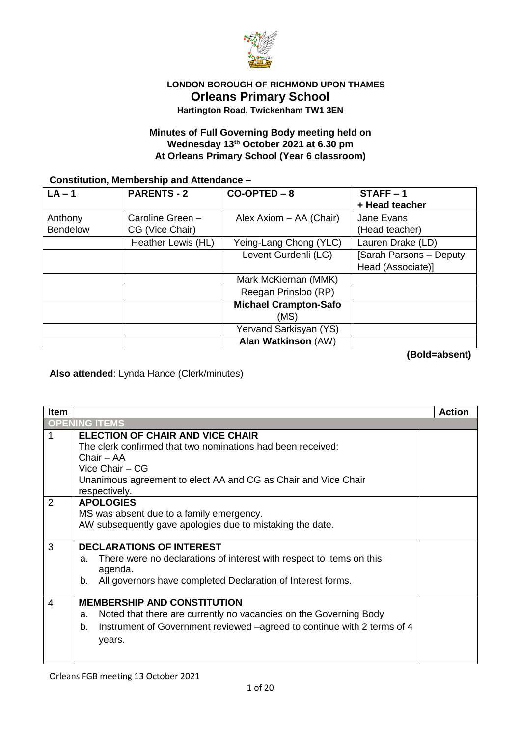

## **LONDON BOROUGH OF RICHMOND UPON THAMES Orleans Primary School Hartington Road, Twickenham TW1 3EN**

## **Minutes of Full Governing Body meeting held on Wednesday 13 th October 2021 at 6.30 pm At Orleans Primary School (Year 6 classroom)**

#### **Constitution, Membership and Attendance –**

| $LA - 1$        | <b>PARENTS - 2</b> | $CO-OPTED - 8$               | $STATE - 1$             |
|-----------------|--------------------|------------------------------|-------------------------|
|                 |                    |                              | + Head teacher          |
| Anthony         | Caroline Green -   | Alex Axiom - AA (Chair)      | Jane Evans              |
| <b>Bendelow</b> | CG (Vice Chair)    |                              | (Head teacher)          |
|                 | Heather Lewis (HL) | Yeing-Lang Chong (YLC)       | Lauren Drake (LD)       |
|                 |                    | Levent Gurdenli (LG)         | [Sarah Parsons - Deputy |
|                 |                    |                              | Head (Associate)]       |
|                 |                    | Mark McKiernan (MMK)         |                         |
|                 |                    | Reegan Prinsloo (RP)         |                         |
|                 |                    | <b>Michael Crampton-Safo</b> |                         |
|                 |                    | (MS)                         |                         |
|                 |                    | Yervand Sarkisyan (YS)       |                         |
|                 |                    | <b>Alan Watkinson (AW)</b>   |                         |

**(Bold=absent)**

**Also attended**: Lynda Hance (Clerk/minutes)

| <b>Item</b>    |                                                                               | Action |
|----------------|-------------------------------------------------------------------------------|--------|
|                | <b>OPENING ITEMS</b>                                                          |        |
| 1              | <b>ELECTION OF CHAIR AND VICE CHAIR</b>                                       |        |
|                | The clerk confirmed that two nominations had been received:                   |        |
|                | Chair – AA                                                                    |        |
|                | Vice Chair - CG                                                               |        |
|                | Unanimous agreement to elect AA and CG as Chair and Vice Chair                |        |
|                | respectively.                                                                 |        |
| $\overline{2}$ | <b>APOLOGIES</b>                                                              |        |
|                | MS was absent due to a family emergency.                                      |        |
|                | AW subsequently gave apologies due to mistaking the date.                     |        |
|                |                                                                               |        |
| 3              | <b>DECLARATIONS OF INTEREST</b>                                               |        |
|                | There were no declarations of interest with respect to items on this<br>a.    |        |
|                | agenda.                                                                       |        |
|                | All governors have completed Declaration of Interest forms.<br>b.             |        |
| 4              | <b>MEMBERSHIP AND CONSTITUTION</b>                                            |        |
|                |                                                                               |        |
|                | Noted that there are currently no vacancies on the Governing Body<br>a.       |        |
|                | Instrument of Government reviewed -agreed to continue with 2 terms of 4<br>b. |        |
|                | years.                                                                        |        |
|                |                                                                               |        |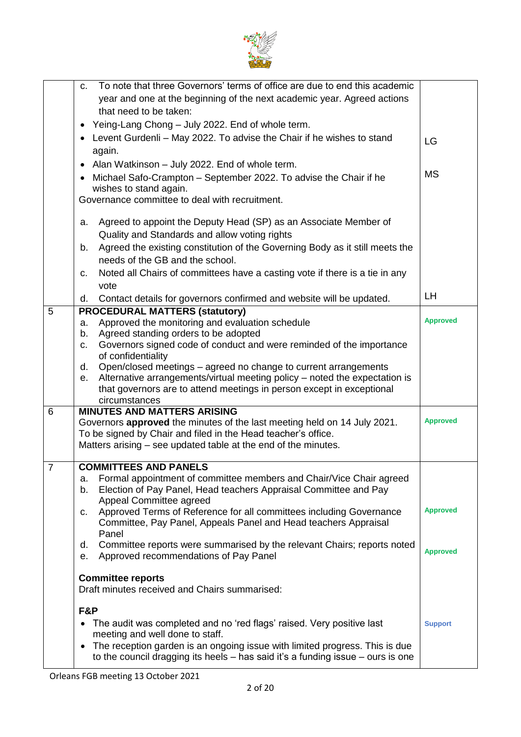

|                | To note that three Governors' terms of office are due to end this academic<br>C.         |                 |
|----------------|------------------------------------------------------------------------------------------|-----------------|
|                | year and one at the beginning of the next academic year. Agreed actions                  |                 |
|                | that need to be taken:                                                                   |                 |
|                | • Yeing-Lang Chong - July 2022. End of whole term.                                       |                 |
|                |                                                                                          |                 |
|                | Levent Gurdenli - May 2022. To advise the Chair if he wishes to stand<br>$\bullet$       | LG              |
|                | again.                                                                                   |                 |
|                | Alan Watkinson - July 2022. End of whole term.<br>$\bullet$                              | <b>MS</b>       |
|                | Michael Safo-Crampton - September 2022. To advise the Chair if he<br>$\bullet$           |                 |
|                | wishes to stand again.                                                                   |                 |
|                | Governance committee to deal with recruitment.                                           |                 |
|                |                                                                                          |                 |
|                | Agreed to appoint the Deputy Head (SP) as an Associate Member of<br>a.                   |                 |
|                | Quality and Standards and allow voting rights                                            |                 |
|                | Agreed the existing constitution of the Governing Body as it still meets the<br>b.       |                 |
|                | needs of the GB and the school.                                                          |                 |
|                | Noted all Chairs of committees have a casting vote if there is a tie in any              |                 |
|                | c.                                                                                       |                 |
|                | vote                                                                                     | LH.             |
|                | Contact details for governors confirmed and website will be updated.<br>d.               |                 |
| 5              | <b>PROCEDURAL MATTERS (statutory)</b>                                                    |                 |
|                | Approved the monitoring and evaluation schedule<br>a.                                    | <b>Approved</b> |
|                | Agreed standing orders to be adopted<br>b.                                               |                 |
|                | Governors signed code of conduct and were reminded of the importance<br>c.               |                 |
|                | of confidentiality                                                                       |                 |
|                | Open/closed meetings – agreed no change to current arrangements<br>d.                    |                 |
|                | Alternative arrangements/virtual meeting policy - noted the expectation is<br>е.         |                 |
|                | that governors are to attend meetings in person except in exceptional                    |                 |
|                | circumstances                                                                            |                 |
| 6              | <b>MINUTES AND MATTERS ARISING</b>                                                       | <b>Approved</b> |
|                | Governors approved the minutes of the last meeting held on 14 July 2021.                 |                 |
|                | To be signed by Chair and filed in the Head teacher's office.                            |                 |
|                | Matters arising – see updated table at the end of the minutes.                           |                 |
| $\overline{7}$ | <b>COMMITTEES AND PANELS</b>                                                             |                 |
|                | Formal appointment of committee members and Chair/Vice Chair agreed<br>a.                |                 |
|                | Election of Pay Panel, Head teachers Appraisal Committee and Pay<br>b.                   |                 |
|                | Appeal Committee agreed                                                                  |                 |
|                | Approved Terms of Reference for all committees including Governance<br>C.                | <b>Approved</b> |
|                | Committee, Pay Panel, Appeals Panel and Head teachers Appraisal                          |                 |
|                | Panel                                                                                    |                 |
|                | Committee reports were summarised by the relevant Chairs; reports noted<br>d.            |                 |
|                | Approved recommendations of Pay Panel<br>е.                                              | <b>Approved</b> |
|                |                                                                                          |                 |
|                | <b>Committee reports</b>                                                                 |                 |
|                | Draft minutes received and Chairs summarised:                                            |                 |
|                |                                                                                          |                 |
|                | F&P                                                                                      |                 |
|                | The audit was completed and no 'red flags' raised. Very positive last<br>$\bullet$       | <b>Support</b>  |
|                | meeting and well done to staff.                                                          |                 |
|                | The reception garden is an ongoing issue with limited progress. This is due<br>$\bullet$ |                 |
|                | to the council dragging its heels $-$ has said it's a funding issue $-$ ours is one      |                 |
|                |                                                                                          |                 |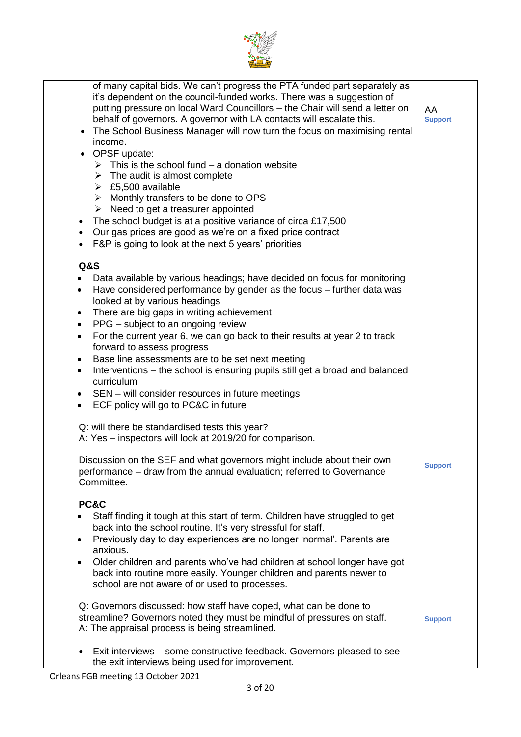

| of many capital bids. We can't progress the PTA funded part separately as<br>it's dependent on the council-funded works. There was a suggestion of<br>putting pressure on local Ward Councillors - the Chair will send a letter on<br>behalf of governors. A governor with LA contacts will escalate this.<br>The School Business Manager will now turn the focus on maximising rental<br>income.<br>• OPSF update:<br>$\triangleright$ This is the school fund – a donation website<br>$\triangleright$ The audit is almost complete<br>$\triangleright$ £5,500 available<br>$\triangleright$ Monthly transfers to be done to OPS<br>$\triangleright$ Need to get a treasurer appointed<br>The school budget is at a positive variance of circa £17,500<br>$\bullet$<br>Our gas prices are good as we're on a fixed price contract<br>$\bullet$<br>F&P is going to look at the next 5 years' priorities | AA<br><b>Support</b> |
|----------------------------------------------------------------------------------------------------------------------------------------------------------------------------------------------------------------------------------------------------------------------------------------------------------------------------------------------------------------------------------------------------------------------------------------------------------------------------------------------------------------------------------------------------------------------------------------------------------------------------------------------------------------------------------------------------------------------------------------------------------------------------------------------------------------------------------------------------------------------------------------------------------|----------------------|
|                                                                                                                                                                                                                                                                                                                                                                                                                                                                                                                                                                                                                                                                                                                                                                                                                                                                                                          |                      |
| <b>Q&amp;S</b><br>Data available by various headings; have decided on focus for monitoring<br>٠<br>Have considered performance by gender as the focus - further data was<br>$\bullet$<br>looked at by various headings<br>There are big gaps in writing achievement<br>٠<br>PPG – subject to an ongoing review<br>٠                                                                                                                                                                                                                                                                                                                                                                                                                                                                                                                                                                                      |                      |
| For the current year 6, we can go back to their results at year 2 to track<br>$\bullet$                                                                                                                                                                                                                                                                                                                                                                                                                                                                                                                                                                                                                                                                                                                                                                                                                  |                      |
| forward to assess progress<br>Base line assessments are to be set next meeting<br>٠                                                                                                                                                                                                                                                                                                                                                                                                                                                                                                                                                                                                                                                                                                                                                                                                                      |                      |
| Interventions – the school is ensuring pupils still get a broad and balanced<br>$\bullet$<br>curriculum                                                                                                                                                                                                                                                                                                                                                                                                                                                                                                                                                                                                                                                                                                                                                                                                  |                      |
| SEN – will consider resources in future meetings<br>٠                                                                                                                                                                                                                                                                                                                                                                                                                                                                                                                                                                                                                                                                                                                                                                                                                                                    |                      |
| ECF policy will go to PC&C in future<br>$\bullet$                                                                                                                                                                                                                                                                                                                                                                                                                                                                                                                                                                                                                                                                                                                                                                                                                                                        |                      |
| Q: will there be standardised tests this year?<br>A: Yes - inspectors will look at 2019/20 for comparison.                                                                                                                                                                                                                                                                                                                                                                                                                                                                                                                                                                                                                                                                                                                                                                                               |                      |
| Discussion on the SEF and what governors might include about their own<br>performance – draw from the annual evaluation; referred to Governance<br>Committee.                                                                                                                                                                                                                                                                                                                                                                                                                                                                                                                                                                                                                                                                                                                                            | <b>Support</b>       |
| PC&C                                                                                                                                                                                                                                                                                                                                                                                                                                                                                                                                                                                                                                                                                                                                                                                                                                                                                                     |                      |
| Staff finding it tough at this start of term. Children have struggled to get                                                                                                                                                                                                                                                                                                                                                                                                                                                                                                                                                                                                                                                                                                                                                                                                                             |                      |
| back into the school routine. It's very stressful for staff.                                                                                                                                                                                                                                                                                                                                                                                                                                                                                                                                                                                                                                                                                                                                                                                                                                             |                      |
| Previously day to day experiences are no longer 'normal'. Parents are<br>٠                                                                                                                                                                                                                                                                                                                                                                                                                                                                                                                                                                                                                                                                                                                                                                                                                               |                      |
| anxious.<br>Older children and parents who've had children at school longer have got<br>$\bullet$                                                                                                                                                                                                                                                                                                                                                                                                                                                                                                                                                                                                                                                                                                                                                                                                        |                      |
| back into routine more easily. Younger children and parents newer to                                                                                                                                                                                                                                                                                                                                                                                                                                                                                                                                                                                                                                                                                                                                                                                                                                     |                      |
| school are not aware of or used to processes.                                                                                                                                                                                                                                                                                                                                                                                                                                                                                                                                                                                                                                                                                                                                                                                                                                                            |                      |
|                                                                                                                                                                                                                                                                                                                                                                                                                                                                                                                                                                                                                                                                                                                                                                                                                                                                                                          |                      |
| Q: Governors discussed: how staff have coped, what can be done to<br>streamline? Governors noted they must be mindful of pressures on staff.                                                                                                                                                                                                                                                                                                                                                                                                                                                                                                                                                                                                                                                                                                                                                             |                      |
| A: The appraisal process is being streamlined.                                                                                                                                                                                                                                                                                                                                                                                                                                                                                                                                                                                                                                                                                                                                                                                                                                                           | <b>Support</b>       |
|                                                                                                                                                                                                                                                                                                                                                                                                                                                                                                                                                                                                                                                                                                                                                                                                                                                                                                          |                      |
| Exit interviews – some constructive feedback. Governors pleased to see<br>٠<br>the exit interviews being used for improvement.                                                                                                                                                                                                                                                                                                                                                                                                                                                                                                                                                                                                                                                                                                                                                                           |                      |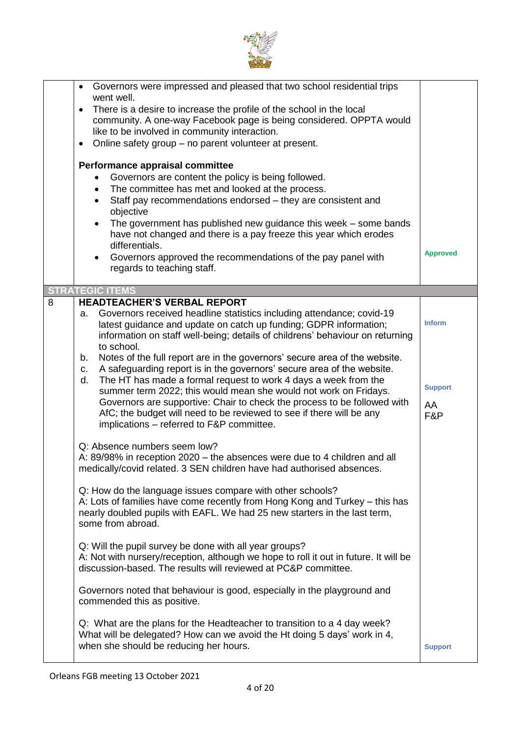

|   | Governors were impressed and pleased that two school residential trips<br>$\bullet$<br>went well.<br>There is a desire to increase the profile of the school in the local<br>$\bullet$<br>community. A one-way Facebook page is being considered. OPPTA would<br>like to be involved in community interaction.<br>Online safety group - no parent volunteer at present.<br>$\bullet$<br>Performance appraisal committee<br>Governors are content the policy is being followed.<br>The committee has met and looked at the process.<br>$\bullet$<br>Staff pay recommendations endorsed - they are consistent and<br>$\bullet$<br>objective<br>The government has published new guidance this week – some bands<br>have not changed and there is a pay freeze this year which erodes<br>differentials.<br>Governors approved the recommendations of the pay panel with<br>regards to teaching staff. | <b>Approved</b>             |
|---|----------------------------------------------------------------------------------------------------------------------------------------------------------------------------------------------------------------------------------------------------------------------------------------------------------------------------------------------------------------------------------------------------------------------------------------------------------------------------------------------------------------------------------------------------------------------------------------------------------------------------------------------------------------------------------------------------------------------------------------------------------------------------------------------------------------------------------------------------------------------------------------------------|-----------------------------|
|   | <b>STRATEGIC ITEMS</b>                                                                                                                                                                                                                                                                                                                                                                                                                                                                                                                                                                                                                                                                                                                                                                                                                                                                             |                             |
| 8 | <b>HEADTEACHER'S VERBAL REPORT</b><br>Governors received headline statistics including attendance; covid-19<br>a.<br>latest guidance and update on catch up funding; GDPR information;<br>information on staff well-being; details of childrens' behaviour on returning<br>to school.                                                                                                                                                                                                                                                                                                                                                                                                                                                                                                                                                                                                              | <b>Inform</b>               |
|   | Notes of the full report are in the governors' secure area of the website.<br>b.<br>A safeguarding report is in the governors' secure area of the website.<br>C.<br>The HT has made a formal request to work 4 days a week from the<br>d.<br>summer term 2022; this would mean she would not work on Fridays.<br>Governors are supportive: Chair to check the process to be followed with<br>AfC; the budget will need to be reviewed to see if there will be any<br>implications - referred to F&P committee.                                                                                                                                                                                                                                                                                                                                                                                     | <b>Support</b><br>AA<br>F&P |
|   | Q: Absence numbers seem low?<br>A: 89/98% in reception 2020 – the absences were due to 4 children and all<br>medically/covid related. 3 SEN children have had authorised absences.                                                                                                                                                                                                                                                                                                                                                                                                                                                                                                                                                                                                                                                                                                                 |                             |
|   | Q: How do the language issues compare with other schools?<br>A: Lots of families have come recently from Hong Kong and Turkey – this has<br>nearly doubled pupils with EAFL. We had 25 new starters in the last term,<br>some from abroad.                                                                                                                                                                                                                                                                                                                                                                                                                                                                                                                                                                                                                                                         |                             |
|   | Q: Will the pupil survey be done with all year groups?<br>A: Not with nursery/reception, although we hope to roll it out in future. It will be<br>discussion-based. The results will reviewed at PC&P committee.                                                                                                                                                                                                                                                                                                                                                                                                                                                                                                                                                                                                                                                                                   |                             |
|   | Governors noted that behaviour is good, especially in the playground and<br>commended this as positive.                                                                                                                                                                                                                                                                                                                                                                                                                                                                                                                                                                                                                                                                                                                                                                                            |                             |
|   | Q: What are the plans for the Headteacher to transition to a 4 day week?<br>What will be delegated? How can we avoid the Ht doing 5 days' work in 4,<br>when she should be reducing her hours.                                                                                                                                                                                                                                                                                                                                                                                                                                                                                                                                                                                                                                                                                                     | <b>Support</b>              |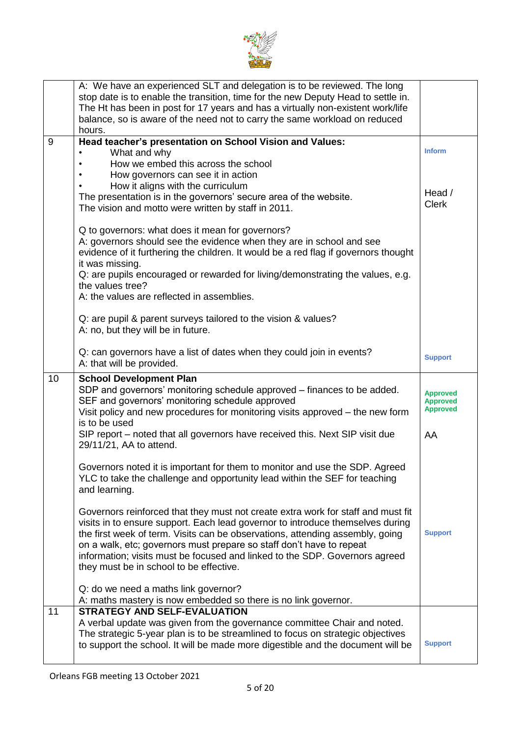

|    | A: We have an experienced SLT and delegation is to be reviewed. The long<br>stop date is to enable the transition, time for the new Deputy Head to settle in.<br>The Ht has been in post for 17 years and has a virtually non-existent work/life<br>balance, so is aware of the need not to carry the same workload on reduced<br>hours. |                 |
|----|------------------------------------------------------------------------------------------------------------------------------------------------------------------------------------------------------------------------------------------------------------------------------------------------------------------------------------------|-----------------|
| 9  | Head teacher's presentation on School Vision and Values:                                                                                                                                                                                                                                                                                 |                 |
|    |                                                                                                                                                                                                                                                                                                                                          | <b>Inform</b>   |
|    | What and why                                                                                                                                                                                                                                                                                                                             |                 |
|    | How we embed this across the school                                                                                                                                                                                                                                                                                                      |                 |
|    | How governors can see it in action                                                                                                                                                                                                                                                                                                       |                 |
|    | How it aligns with the curriculum                                                                                                                                                                                                                                                                                                        |                 |
|    | The presentation is in the governors' secure area of the website.                                                                                                                                                                                                                                                                        | Head /          |
|    | The vision and motto were written by staff in 2011.                                                                                                                                                                                                                                                                                      | <b>Clerk</b>    |
|    |                                                                                                                                                                                                                                                                                                                                          |                 |
|    | Q to governors: what does it mean for governors?                                                                                                                                                                                                                                                                                         |                 |
|    |                                                                                                                                                                                                                                                                                                                                          |                 |
|    | A: governors should see the evidence when they are in school and see                                                                                                                                                                                                                                                                     |                 |
|    | evidence of it furthering the children. It would be a red flag if governors thought                                                                                                                                                                                                                                                      |                 |
|    | it was missing.                                                                                                                                                                                                                                                                                                                          |                 |
|    | Q: are pupils encouraged or rewarded for living/demonstrating the values, e.g.                                                                                                                                                                                                                                                           |                 |
|    | the values tree?                                                                                                                                                                                                                                                                                                                         |                 |
|    | A: the values are reflected in assemblies.                                                                                                                                                                                                                                                                                               |                 |
|    |                                                                                                                                                                                                                                                                                                                                          |                 |
|    | Q: are pupil & parent surveys tailored to the vision & values?                                                                                                                                                                                                                                                                           |                 |
|    | A: no, but they will be in future.                                                                                                                                                                                                                                                                                                       |                 |
|    |                                                                                                                                                                                                                                                                                                                                          |                 |
|    | Q: can governors have a list of dates when they could join in events?                                                                                                                                                                                                                                                                    |                 |
|    | A: that will be provided.                                                                                                                                                                                                                                                                                                                | <b>Support</b>  |
|    |                                                                                                                                                                                                                                                                                                                                          |                 |
|    |                                                                                                                                                                                                                                                                                                                                          |                 |
| 10 | <b>School Development Plan</b>                                                                                                                                                                                                                                                                                                           |                 |
|    | SDP and governors' monitoring schedule approved – finances to be added.                                                                                                                                                                                                                                                                  | <b>Approved</b> |
|    | SEF and governors' monitoring schedule approved                                                                                                                                                                                                                                                                                          | <b>Approved</b> |
|    | Visit policy and new procedures for monitoring visits approved - the new form                                                                                                                                                                                                                                                            | <b>Approved</b> |
|    | is to be used                                                                                                                                                                                                                                                                                                                            |                 |
|    |                                                                                                                                                                                                                                                                                                                                          |                 |
|    | SIP report - noted that all governors have received this. Next SIP visit due                                                                                                                                                                                                                                                             | AA              |
|    | 29/11/21, AA to attend.                                                                                                                                                                                                                                                                                                                  |                 |
|    |                                                                                                                                                                                                                                                                                                                                          |                 |
|    | Governors noted it is important for them to monitor and use the SDP. Agreed                                                                                                                                                                                                                                                              |                 |
|    | YLC to take the challenge and opportunity lead within the SEF for teaching                                                                                                                                                                                                                                                               |                 |
|    | and learning.                                                                                                                                                                                                                                                                                                                            |                 |
|    |                                                                                                                                                                                                                                                                                                                                          |                 |
|    | Governors reinforced that they must not create extra work for staff and must fit                                                                                                                                                                                                                                                         |                 |
|    | visits in to ensure support. Each lead governor to introduce themselves during                                                                                                                                                                                                                                                           |                 |
|    | the first week of term. Visits can be observations, attending assembly, going                                                                                                                                                                                                                                                            | <b>Support</b>  |
|    | on a walk, etc; governors must prepare so staff don't have to repeat                                                                                                                                                                                                                                                                     |                 |
|    | information; visits must be focused and linked to the SDP. Governors agreed                                                                                                                                                                                                                                                              |                 |
|    | they must be in school to be effective.                                                                                                                                                                                                                                                                                                  |                 |
|    |                                                                                                                                                                                                                                                                                                                                          |                 |
|    | Q: do we need a maths link governor?                                                                                                                                                                                                                                                                                                     |                 |
|    |                                                                                                                                                                                                                                                                                                                                          |                 |
|    | A: maths mastery is now embedded so there is no link governor.                                                                                                                                                                                                                                                                           |                 |
| 11 | <b>STRATEGY AND SELF-EVALUATION</b>                                                                                                                                                                                                                                                                                                      |                 |
|    | A verbal update was given from the governance committee Chair and noted.                                                                                                                                                                                                                                                                 |                 |
|    | The strategic 5-year plan is to be streamlined to focus on strategic objectives                                                                                                                                                                                                                                                          |                 |
|    | to support the school. It will be made more digestible and the document will be                                                                                                                                                                                                                                                          | <b>Support</b>  |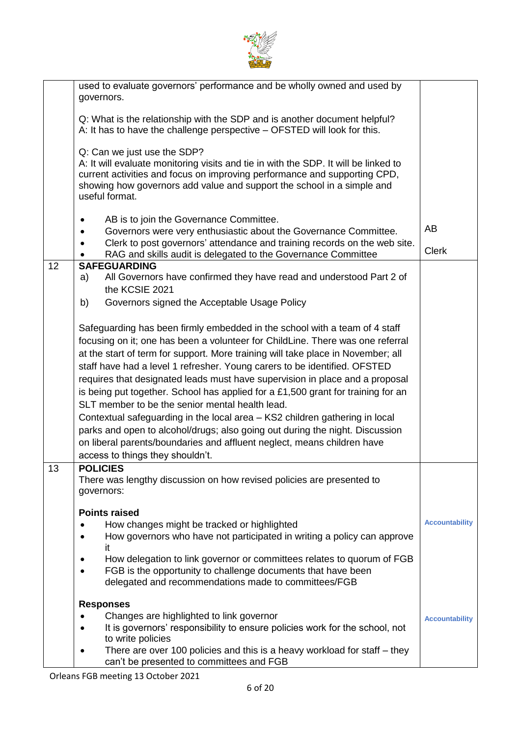

|    | used to evaluate governors' performance and be wholly owned and used by<br>governors.                                                                                                                                                                                                                                                                                                                                                                                                                                                                                                                                                                                                                                                                                                                                              |                       |  |
|----|------------------------------------------------------------------------------------------------------------------------------------------------------------------------------------------------------------------------------------------------------------------------------------------------------------------------------------------------------------------------------------------------------------------------------------------------------------------------------------------------------------------------------------------------------------------------------------------------------------------------------------------------------------------------------------------------------------------------------------------------------------------------------------------------------------------------------------|-----------------------|--|
|    | Q: What is the relationship with the SDP and is another document helpful?<br>A: It has to have the challenge perspective - OFSTED will look for this.                                                                                                                                                                                                                                                                                                                                                                                                                                                                                                                                                                                                                                                                              |                       |  |
|    | Q: Can we just use the SDP?<br>A: It will evaluate monitoring visits and tie in with the SDP. It will be linked to<br>current activities and focus on improving performance and supporting CPD,<br>showing how governors add value and support the school in a simple and<br>useful format.                                                                                                                                                                                                                                                                                                                                                                                                                                                                                                                                        |                       |  |
|    | AB is to join the Governance Committee.<br>Governors were very enthusiastic about the Governance Committee.                                                                                                                                                                                                                                                                                                                                                                                                                                                                                                                                                                                                                                                                                                                        |                       |  |
|    | Clerk to post governors' attendance and training records on the web site.<br>RAG and skills audit is delegated to the Governance Committee                                                                                                                                                                                                                                                                                                                                                                                                                                                                                                                                                                                                                                                                                         | AB<br><b>Clerk</b>    |  |
| 12 | <b>SAFEGUARDING</b><br>All Governors have confirmed they have read and understood Part 2 of<br>a)<br>the KCSIE 2021<br>Governors signed the Acceptable Usage Policy<br>b)                                                                                                                                                                                                                                                                                                                                                                                                                                                                                                                                                                                                                                                          |                       |  |
|    | Safeguarding has been firmly embedded in the school with a team of 4 staff<br>focusing on it; one has been a volunteer for ChildLine. There was one referral<br>at the start of term for support. More training will take place in November; all<br>staff have had a level 1 refresher. Young carers to be identified. OFSTED<br>requires that designated leads must have supervision in place and a proposal<br>is being put together. School has applied for a £1,500 grant for training for an<br>SLT member to be the senior mental health lead.<br>Contextual safeguarding in the local area - KS2 children gathering in local<br>parks and open to alcohol/drugs; also going out during the night. Discussion<br>on liberal parents/boundaries and affluent neglect, means children have<br>access to things they shouldn't. |                       |  |
| 13 | <b>POLICIES</b><br>There was lengthy discussion on how revised policies are presented to<br>governors:                                                                                                                                                                                                                                                                                                                                                                                                                                                                                                                                                                                                                                                                                                                             |                       |  |
|    | <b>Points raised</b><br>How changes might be tracked or highlighted<br>How governors who have not participated in writing a policy can approve<br>it                                                                                                                                                                                                                                                                                                                                                                                                                                                                                                                                                                                                                                                                               | <b>Accountability</b> |  |
|    | How delegation to link governor or committees relates to quorum of FGB<br>FGB is the opportunity to challenge documents that have been<br>delegated and recommendations made to committees/FGB                                                                                                                                                                                                                                                                                                                                                                                                                                                                                                                                                                                                                                     |                       |  |
|    | <b>Responses</b>                                                                                                                                                                                                                                                                                                                                                                                                                                                                                                                                                                                                                                                                                                                                                                                                                   |                       |  |
|    | Changes are highlighted to link governor<br>It is governors' responsibility to ensure policies work for the school, not                                                                                                                                                                                                                                                                                                                                                                                                                                                                                                                                                                                                                                                                                                            | <b>Accountability</b> |  |
|    | to write policies                                                                                                                                                                                                                                                                                                                                                                                                                                                                                                                                                                                                                                                                                                                                                                                                                  |                       |  |
|    | There are over 100 policies and this is a heavy workload for staff – they<br>can't be presented to committees and FGB                                                                                                                                                                                                                                                                                                                                                                                                                                                                                                                                                                                                                                                                                                              |                       |  |
|    |                                                                                                                                                                                                                                                                                                                                                                                                                                                                                                                                                                                                                                                                                                                                                                                                                                    |                       |  |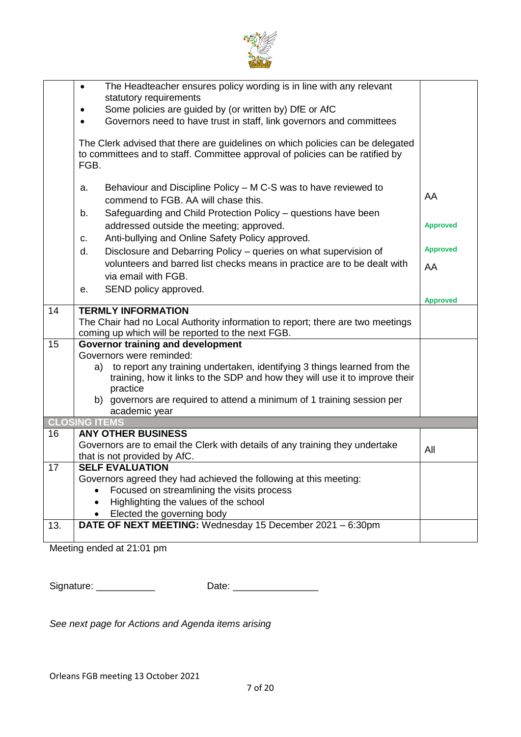

|     | The Headteacher ensures policy wording is in line with any relevant<br>$\bullet$<br>statutory requirements                          |                 |  |
|-----|-------------------------------------------------------------------------------------------------------------------------------------|-----------------|--|
|     | Some policies are guided by (or written by) DfE or AfC<br>٠                                                                         |                 |  |
|     | Governors need to have trust in staff, link governors and committees<br>$\bullet$                                                   |                 |  |
|     |                                                                                                                                     |                 |  |
|     | The Clerk advised that there are guidelines on which policies can be delegated                                                      |                 |  |
|     | to committees and to staff. Committee approval of policies can be ratified by                                                       |                 |  |
|     | FGB.                                                                                                                                |                 |  |
|     | Behaviour and Discipline Policy – M C-S was to have reviewed to                                                                     |                 |  |
|     | a.<br>commend to FGB. AA will chase this.                                                                                           | AA              |  |
|     |                                                                                                                                     |                 |  |
|     | Safeguarding and Child Protection Policy - questions have been<br>b.                                                                |                 |  |
|     | addressed outside the meeting; approved.                                                                                            | <b>Approved</b> |  |
|     | Anti-bullying and Online Safety Policy approved.<br>C.                                                                              |                 |  |
|     | Disclosure and Debarring Policy - queries on what supervision of<br>d.                                                              | <b>Approved</b> |  |
|     | volunteers and barred list checks means in practice are to be dealt with                                                            | AA              |  |
|     | via email with FGB.                                                                                                                 |                 |  |
|     | SEND policy approved.<br>е.                                                                                                         |                 |  |
|     |                                                                                                                                     | <b>Approved</b> |  |
| 14  | <b>TERMLY INFORMATION</b>                                                                                                           |                 |  |
|     | The Chair had no Local Authority information to report; there are two meetings<br>coming up which will be reported to the next FGB. |                 |  |
| 15  | <b>Governor training and development</b>                                                                                            |                 |  |
|     | Governors were reminded:                                                                                                            |                 |  |
|     | to report any training undertaken, identifying 3 things learned from the<br>a)                                                      |                 |  |
|     | training, how it links to the SDP and how they will use it to improve their                                                         |                 |  |
|     | practice                                                                                                                            |                 |  |
|     | b) governors are required to attend a minimum of 1 training session per                                                             |                 |  |
|     | academic year                                                                                                                       |                 |  |
|     | <b>CLOSING ITEMS</b>                                                                                                                |                 |  |
| 16  | <b>ANY OTHER BUSINESS</b>                                                                                                           |                 |  |
|     | Governors are to email the Clerk with details of any training they undertake                                                        | All             |  |
| 17  | that is not provided by AfC.<br><b>SELF EVALUATION</b>                                                                              |                 |  |
|     | Governors agreed they had achieved the following at this meeting:                                                                   |                 |  |
|     | Focused on streamlining the visits process                                                                                          |                 |  |
|     | Highlighting the values of the school                                                                                               |                 |  |
|     | Elected the governing body                                                                                                          |                 |  |
| 13. | DATE OF NEXT MEETING: Wednesday 15 December 2021 - 6:30pm                                                                           |                 |  |
|     |                                                                                                                                     |                 |  |
|     |                                                                                                                                     |                 |  |

Meeting ended at 21:01 pm

Signature: \_\_\_\_\_\_\_\_\_\_\_ Date: \_\_\_\_\_\_\_\_\_\_\_\_\_\_\_\_

*See next page for Actions and Agenda items arising*